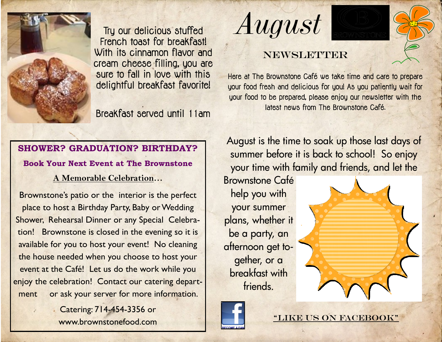

Try our delicious stuffed French toast for breakfast! With its cinnamon flavor and cream cheese filling, you are sure to fall in love with this delightful breakfast favorite!

Breakfast served until 11am

*August*

### **NEWSLETTER**

Here at The Brownstone Café we take time and care to prepare your food fresh and delicious for you! As you patiently wait for your food to be prepared, please enjoy our newsletter with the latest news from The Brownstone Café.

# **SHOWER? GRADUATION? BIRTHDAY? Book Your Next Event at The Brownstone**

**A Memorable Celebration…**

Brownstone's patio or the interior is the perfect place to host a Birthday Party, Baby or Wedding Shower, Rehearsal Dinner or any Special Celebration! Brownstone is closed in the evening so it is available for you to host your event! No cleaning the house needed when you choose to host your event at the Café! Let us do the work while you enjoy the celebration! Contact our catering department or ask your server for more information.

> Catering: 714-454-3356 or www.brownstonefood.com

August is the time to soak up those last days of summer before it is back to school! So enjoy your time with family and friends, and let the

Brownstone Café help you with your summer plans, whether it be a party, an afternoon get together, or a breakfast with friends.





"LIKE US ON FACEBOOK"